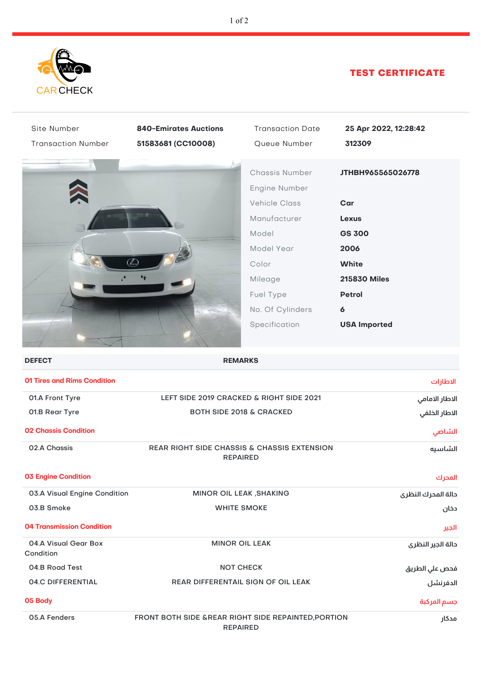

## TEST CERTIFICATE

| Site Number                        | <b>840-Emirates Auctions</b>                                            | <b>Transaction Date</b>                                                                                                                                              | 25 Apr 2022, 12:28:42                                                                                                                                 |
|------------------------------------|-------------------------------------------------------------------------|----------------------------------------------------------------------------------------------------------------------------------------------------------------------|-------------------------------------------------------------------------------------------------------------------------------------------------------|
| <b>Transaction Number</b>          | 51583681 (CC10008)                                                      | Queue Number                                                                                                                                                         | 312309                                                                                                                                                |
|                                    |                                                                         | Chassis Number<br>Engine Number<br><b>Vehicle Class</b><br>Manufacturer<br>Model<br>Model Year<br>Color<br>Mileage<br>Fuel Type<br>No. Of Cylinders<br>Specification | JTHBH965565026778<br>Car<br><b>Lexus</b><br><b>GS 300</b><br>2006<br><b>White</b><br><b>215830 Miles</b><br><b>Petrol</b><br>6<br><b>USA Imported</b> |
|                                    |                                                                         |                                                                                                                                                                      |                                                                                                                                                       |
| <b>DEFECT</b>                      | <b>REMARKS</b>                                                          |                                                                                                                                                                      |                                                                                                                                                       |
| <b>01 Tires and Rims Condition</b> |                                                                         |                                                                                                                                                                      | الاطارات                                                                                                                                              |
| 01.A Front Tyre                    | LEFT SIDE 2019 CRACKED & RIGHT SIDE 2021                                |                                                                                                                                                                      | الاطار الامامي                                                                                                                                        |
| 01.B Rear Tyre                     | <b>BOTH SIDE 2018 &amp; CRACKED</b>                                     |                                                                                                                                                                      | الاطار الخلفي                                                                                                                                         |
| <b>02 Chassis Condition</b>        |                                                                         |                                                                                                                                                                      | الشاصي                                                                                                                                                |
| 02.A Chassis                       | REAR RIGHT SIDE CHASSIS & CHASSIS EXTENSION<br><b>REPAIRED</b>          |                                                                                                                                                                      | الشاسيه                                                                                                                                               |
| <b>03 Engine Condition</b>         |                                                                         |                                                                                                                                                                      | المحرك                                                                                                                                                |
| 03.A Visual Engine Condition       | MINOR OIL LEAK, SHAKING                                                 |                                                                                                                                                                      | دالة المدرك النظرى                                                                                                                                    |
| 03.B Smoke                         | <b>WHITE SMOKE</b>                                                      |                                                                                                                                                                      | دخان                                                                                                                                                  |
| <b>04 Transmission Condition</b>   |                                                                         |                                                                                                                                                                      | الجير                                                                                                                                                 |
| 04.A Visual Gear Box<br>Condition  | <b>MINOR OIL LEAK</b>                                                   |                                                                                                                                                                      | دالة الجير النظرى                                                                                                                                     |
| 04.B Road Test                     | <b>NOT CHECK</b>                                                        |                                                                                                                                                                      | فحص علي الطريق                                                                                                                                        |
| <b>04.C DIFFERENTIAL</b>           | REAR DIFFERENTAIL SIGN OF OIL LEAK                                      |                                                                                                                                                                      | الدفرنشل                                                                                                                                              |
| 05 Body                            |                                                                         |                                                                                                                                                                      | جسم المركبة                                                                                                                                           |
| 05.A Fenders                       | FRONT BOTH SIDE & REAR RIGHT SIDE REPAINTED, PORTION<br><b>REPAIRED</b> |                                                                                                                                                                      | مدكار                                                                                                                                                 |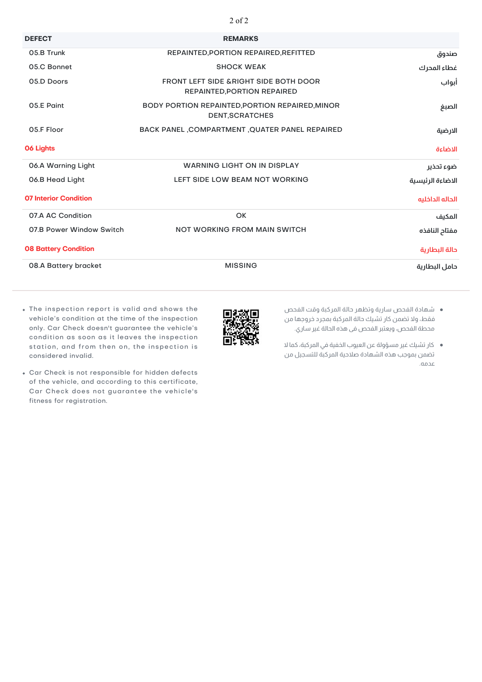| <b>DEFECT</b>                | <b>REMARKS</b>                                                                   |                  |
|------------------------------|----------------------------------------------------------------------------------|------------------|
| 05.B Trunk                   | REPAINTED, PORTION REPAIRED, REFITTED                                            | صندوق            |
| 05.C Bonnet                  | <b>SHOCK WEAK</b>                                                                | غطاء المحرك      |
| 05.D Doors                   | <b>FRONT LEFT SIDE &amp; RIGHT SIDE BOTH DOOR</b><br>REPAINTED, PORTION REPAIRED | أبواب            |
| 05.E Paint                   | <b>BODY PORTION REPAINTED, PORTION REPAIRED, MINOR</b><br><b>DENT, SCRATCHES</b> | الصبغ            |
| 05.F Floor                   | BACK PANEL , COMPARTMENT , QUATER PANEL REPAIRED                                 | الارضية          |
| <b>06 Lights</b>             |                                                                                  | الاضاءة          |
| 06.A Warning Light           | <b>WARNING LIGHT ON IN DISPLAY</b>                                               | ضوء تحذير        |
| 06.B Head Light              | LEFT SIDE LOW BEAM NOT WORKING                                                   | الاضاءة الرئيسية |
| <b>07 Interior Condition</b> |                                                                                  | الحاله الداخليه  |
| 07.A AC Condition            | OK                                                                               | المكيف           |
| 07.B Power Window Switch     | <b>NOT WORKING FROM MAIN SWITCH</b>                                              | مفتاح النافذه    |
| <b>08 Battery Condition</b>  |                                                                                  | حالة البطارية    |
| 08.A Battery bracket         | <b>MISSING</b>                                                                   | دامل البطارية    |

- The inspection report is valid and shows the vehicle's condition at the time of the inspection only. Car Check doesn't guarantee the vehicle's condition as soon as it leaves the inspection station, and from then on, the inspection is considered invalid.
- Car Check is not responsible for hidden defects of the vehicle, and according to this certificate, Car Check does not guarantee the vehicle's fitness for registration.
- 
- شهادة الفحص سارية وتظهر حالة المركبة وقت الفحص فقط، ولا تضمن كار تشيك حالة المركبة بمجرد خروجها من محطة الفحص، ويعتبر الفحص فى هذه الحالة غير ساري.
- كار تشيك غير مسؤولة عن العيوب الخفية في المركبة، كما لا تضمن بموجب هذه الشهادة صلاحية المركبة للتسجيل من عدمه.